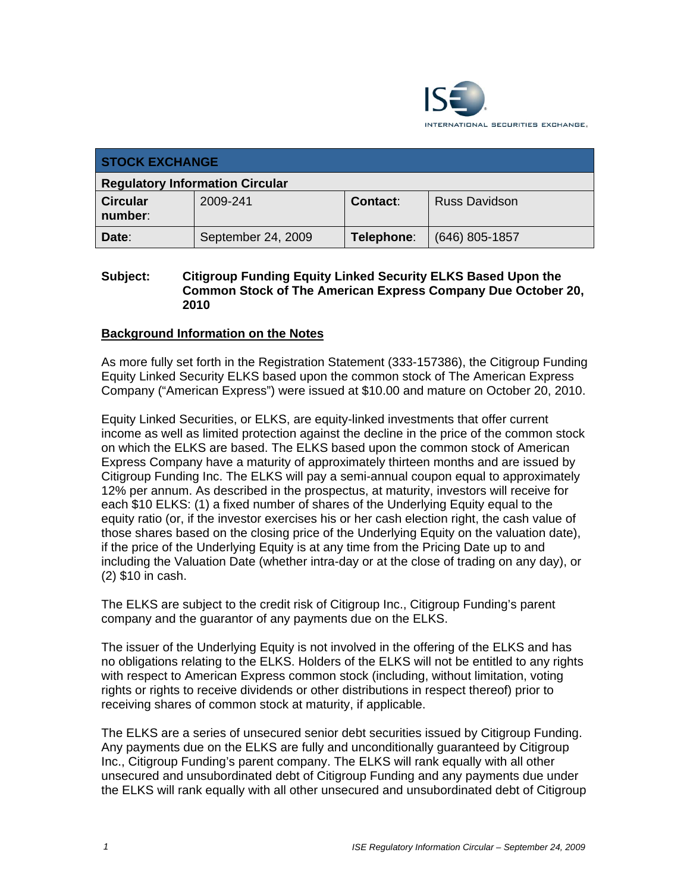

| <b>STOCK EXCHANGE</b>                  |                    |            |                      |  |
|----------------------------------------|--------------------|------------|----------------------|--|
| <b>Regulatory Information Circular</b> |                    |            |                      |  |
| <b>Circular</b><br>number:             | 2009-241           | Contact:   | <b>Russ Davidson</b> |  |
| Date:                                  | September 24, 2009 | Telephone: | $(646)$ 805-1857     |  |

#### **Subject: Citigroup Funding Equity Linked Security ELKS Based Upon the Common Stock of The American Express Company Due October 20, 2010**

### **Background Information on the Notes**

As more fully set forth in the Registration Statement (333-157386), the Citigroup Funding Equity Linked Security ELKS based upon the common stock of The American Express Company ("American Express") were issued at \$10.00 and mature on October 20, 2010.

Equity Linked Securities, or ELKS, are equity-linked investments that offer current income as well as limited protection against the decline in the price of the common stock on which the ELKS are based. The ELKS based upon the common stock of American Express Company have a maturity of approximately thirteen months and are issued by Citigroup Funding Inc. The ELKS will pay a semi-annual coupon equal to approximately 12% per annum. As described in the prospectus, at maturity, investors will receive for each \$10 ELKS: (1) a fixed number of shares of the Underlying Equity equal to the equity ratio (or, if the investor exercises his or her cash election right, the cash value of those shares based on the closing price of the Underlying Equity on the valuation date), if the price of the Underlying Equity is at any time from the Pricing Date up to and including the Valuation Date (whether intra-day or at the close of trading on any day), or (2) \$10 in cash.

The ELKS are subject to the credit risk of Citigroup Inc., Citigroup Funding's parent company and the guarantor of any payments due on the ELKS.

The issuer of the Underlying Equity is not involved in the offering of the ELKS and has no obligations relating to the ELKS. Holders of the ELKS will not be entitled to any rights with respect to American Express common stock (including, without limitation, voting rights or rights to receive dividends or other distributions in respect thereof) prior to receiving shares of common stock at maturity, if applicable.

The ELKS are a series of unsecured senior debt securities issued by Citigroup Funding. Any payments due on the ELKS are fully and unconditionally guaranteed by Citigroup Inc., Citigroup Funding's parent company. The ELKS will rank equally with all other unsecured and unsubordinated debt of Citigroup Funding and any payments due under the ELKS will rank equally with all other unsecured and unsubordinated debt of Citigroup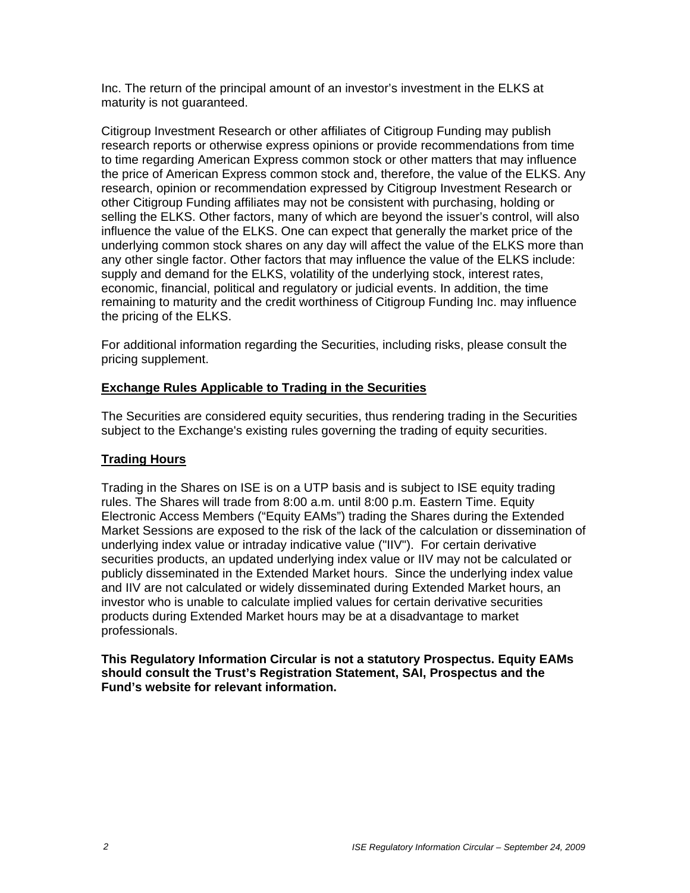Inc. The return of the principal amount of an investor's investment in the ELKS at maturity is not guaranteed.

Citigroup Investment Research or other affiliates of Citigroup Funding may publish research reports or otherwise express opinions or provide recommendations from time to time regarding American Express common stock or other matters that may influence the price of American Express common stock and, therefore, the value of the ELKS. Any research, opinion or recommendation expressed by Citigroup Investment Research or other Citigroup Funding affiliates may not be consistent with purchasing, holding or selling the ELKS. Other factors, many of which are beyond the issuer's control, will also influence the value of the ELKS. One can expect that generally the market price of the underlying common stock shares on any day will affect the value of the ELKS more than any other single factor. Other factors that may influence the value of the ELKS include: supply and demand for the ELKS, volatility of the underlying stock, interest rates, economic, financial, political and regulatory or judicial events. In addition, the time remaining to maturity and the credit worthiness of Citigroup Funding Inc. may influence the pricing of the ELKS.

For additional information regarding the Securities, including risks, please consult the pricing supplement.

### **Exchange Rules Applicable to Trading in the Securities**

The Securities are considered equity securities, thus rendering trading in the Securities subject to the Exchange's existing rules governing the trading of equity securities.

## **Trading Hours**

Trading in the Shares on ISE is on a UTP basis and is subject to ISE equity trading rules. The Shares will trade from 8:00 a.m. until 8:00 p.m. Eastern Time. Equity Electronic Access Members ("Equity EAMs") trading the Shares during the Extended Market Sessions are exposed to the risk of the lack of the calculation or dissemination of underlying index value or intraday indicative value ("IIV"). For certain derivative securities products, an updated underlying index value or IIV may not be calculated or publicly disseminated in the Extended Market hours. Since the underlying index value and IIV are not calculated or widely disseminated during Extended Market hours, an investor who is unable to calculate implied values for certain derivative securities products during Extended Market hours may be at a disadvantage to market professionals.

**This Regulatory Information Circular is not a statutory Prospectus. Equity EAMs should consult the Trust's Registration Statement, SAI, Prospectus and the Fund's website for relevant information.**